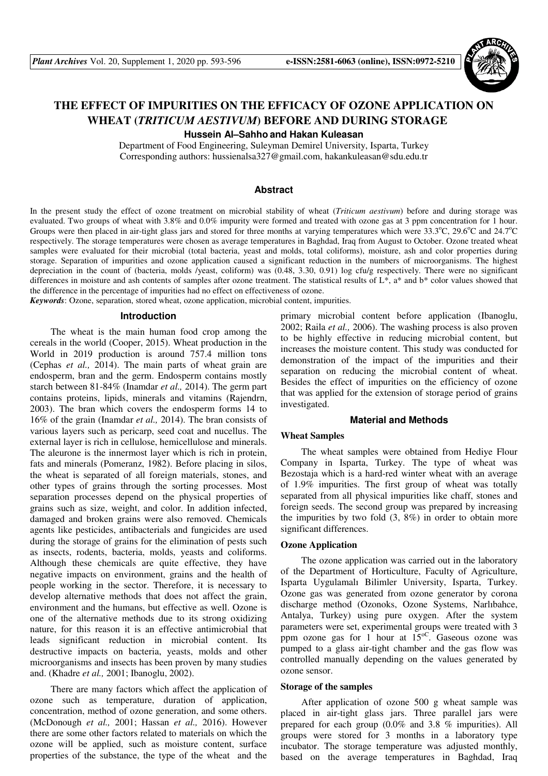

# **THE EFFECT OF IMPURITIES ON THE EFFICACY OF OZONE APPLICATION ON WHEAT (***TRITICUM AESTIVUM***) BEFORE AND DURING STORAGE**

**Hussein Al–Sahho and Hakan Kuleasan** 

Department of Food Engineering, Suleyman Demirel University, Isparta, Turkey Corresponding authors: hussienalsa327@gmail.com, hakankuleasan@sdu.edu.tr

## **Abstract**

In the present study the effect of ozone treatment on microbial stability of wheat (*Triticum aestivum*) before and during storage was evaluated. Two groups of wheat with 3.8% and 0.0% impurity were formed and treated with ozone gas at 3 ppm concentration for 1 hour. Groups were then placed in air-tight glass jars and stored for three months at varying temperatures which were  $33.3^{\circ}$ C,  $29.6^{\circ}$ C and  $24.7^{\circ}$ C respectively. The storage temperatures were chosen as average temperatures in Baghdad, Iraq from August to October. Ozone treated wheat samples were evaluated for their microbial (total bacteria, yeast and molds, total coliforms), moisture, ash and color properties during storage. Separation of impurities and ozone application caused a significant reduction in the numbers of microorganisms. The highest depreciation in the count of (bacteria, molds /yeast, coliform) was (0.48, 3.30, 0.91) log cfu/g respectively. There were no significant differences in moisture and ash contents of samples after ozone treatment. The statistical results of  $L^*$ , a\* and b\* color values showed that the difference in the percentage of impurities had no effect on effectiveness of ozone.

*Keywords*: Ozone, separation, stored wheat, ozone application, microbial content, impurities.

#### **Introduction**

The wheat is the main human food crop among the cereals in the world (Cooper, 2015). Wheat production in the World in 2019 production is around 757.4 million tons (Cephas *et al.,* 2014). The main parts of wheat grain are endosperm, bran and the germ. Endosperm contains mostly starch between 81-84% (Inamdar *et al.,* 2014). The germ part contains proteins, lipids, minerals and vitamins (Rajendrn, 2003). The bran which covers the endosperm forms 14 to 16% of the grain (Inamdar *et al.,* 2014). The bran consists of various layers such as pericarp, seed coat and nucellus. The external layer is rich in cellulose, hemicellulose and minerals. The aleurone is the innermost layer which is rich in protein, fats and minerals (Pomeranz, 1982). Before placing in silos, the wheat is separated of all foreign materials, stones, and other types of grains through the sorting processes. Most separation processes depend on the physical properties of grains such as size, weight, and color. In addition infected, damaged and broken grains were also removed. Chemicals agents like pesticides, antibacterials and fungicides are used during the storage of grains for the elimination of pests such as insects, rodents, bacteria, molds, yeasts and coliforms. Although these chemicals are quite effective, they have negative impacts on environment, grains and the health of people working in the sector. Therefore, it is necessary to develop alternative methods that does not affect the grain, environment and the humans, but effective as well. Ozone is one of the alternative methods due to its strong oxidizing nature, for this reason it is an effective antimicrobial that leads significant reduction in microbial content. Its destructive impacts on bacteria, yeasts, molds and other microorganisms and insects has been proven by many studies and. (Khadre *et al.,* 2001; Ibanoglu, 2002).

There are many factors which affect the application of ozone such as temperature, duration of application, concentration, method of ozone generation, and some others. (McDonough *et al.,* 2001; Hassan *et al.,* 2016). However there are some other factors related to materials on which the ozone will be applied, such as moisture content, surface properties of the substance, the type of the wheat and the primary microbial content before application (Ibanoglu, 2002; Raila *et al.,* 2006). The washing process is also proven to be highly effective in reducing microbial content, but increases the moisture content. This study was conducted for demonstration of the impact of the impurities and their separation on reducing the microbial content of wheat. Besides the effect of impurities on the efficiency of ozone that was applied for the extension of storage period of grains investigated.

# **Material and Methods**

# **Wheat Samples**

The wheat samples were obtained from Hediye Flour Company in Isparta, Turkey. The type of wheat was Bezostaja which is a hard-red winter wheat with an average of 1.9% impurities. The first group of wheat was totally separated from all physical impurities like chaff, stones and foreign seeds. The second group was prepared by increasing the impurities by two fold  $(3, 8\%)$  in order to obtain more significant differences.

#### **Ozone Application**

The ozone application was carried out in the laboratory of the Department of Horticulture, Faculty of Agriculture, Isparta Uygulamalı Bilimler University, Isparta, Turkey. Ozone gas was generated from ozone generator by corona discharge method (Ozonoks, Ozone Systems, Narlıbahce, Antalya, Turkey) using pure oxygen. After the system parameters were set, experimental groups were treated with 3 ppm ozone gas for 1 hour at  $15^{\circ}$ C. Gaseous ozone was pumped to a glass air-tight chamber and the gas flow was controlled manually depending on the values generated by ozone sensor.

#### **Storage of the samples**

After application of ozone 500 g wheat sample was placed in air-tight glass jars. Three parallel jars were prepared for each group (0.0% and 3.8 % impurities). All groups were stored for 3 months in a laboratory type incubator. The storage temperature was adjusted monthly, based on the average temperatures in Baghdad, Iraq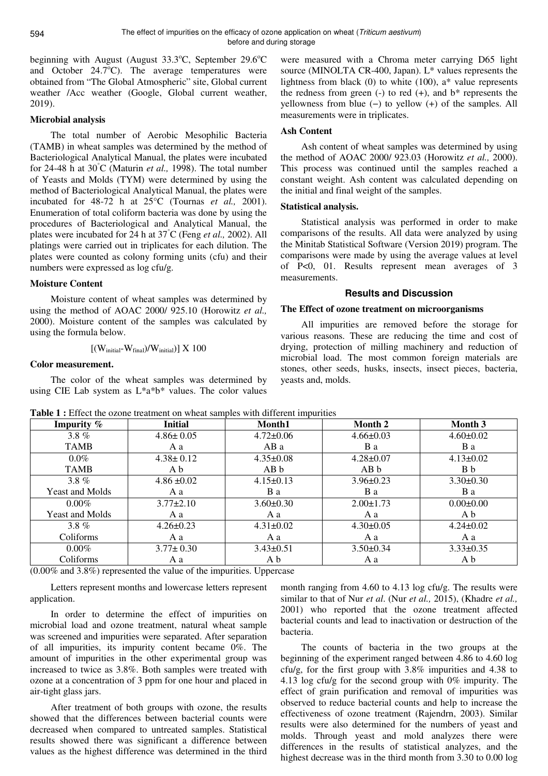beginning with August (August  $33.3^{\circ}$ C, September  $29.6^{\circ}$ C and October  $24.7^{\circ}$ C). The average temperatures were obtained from "The Global Atmospheric" site, Global current weather /Acc weather (Google, Global current weather, 2019).

# **Microbial analysis**

The total number of Aerobic Mesophilic Bacteria (TAMB) in wheat samples was determined by the method of Bacteriological Analytical Manual, the plates were incubated for 24-48 h at 30°C (Maturin *et al.,* 1998). The total number of Yeasts and Molds (TYM) were determined by using the method of Bacteriological Analytical Manual, the plates were incubated for 48-72 h at 25°C (Tournas *et al.,* 2001). Enumeration of total coliform bacteria was done by using the procedures of Bacteriological and Analytical Manual, the plates were incubated for 24 h at 37°C (Feng *et al.,* 2002). All platings were carried out in triplicates for each dilution. The plates were counted as colony forming units (cfu) and their numbers were expressed as log cfu/g.

#### **Moisture Content**

Moisture content of wheat samples was determined by using the method of AOAC 2000/ 925.10 (Horowitz *et al.,* 2000). Moisture content of the samples was calculated by using the formula below.

$$
[(W_{initial} - W_{final})/W_{initial})] \times 100
$$

#### **Color measurement.**

The color of the wheat samples was determined by using CIE Lab system as L\*a\*b\* values. The color values were measured with a Chroma meter carrying D65 light source (MINOLTA CR-400, Japan). L\* values represents the lightness from black  $(0)$  to white  $(100)$ , a\* value represents the redness from green  $(-)$  to red  $(+)$ , and  $b^*$  represents the yellowness from blue (−) to yellow (+) of the samples. All measurements were in triplicates.

## **Ash Content**

Ash content of wheat samples was determined by using the method of AOAC 2000/ 923.03 (Horowitz *et al.,* 2000). This process was continued until the samples reached a constant weight. Ash content was calculated depending on the initial and final weight of the samples.

## **Statistical analysis.**

Statistical analysis was performed in order to make comparisons of the results. All data were analyzed by using the Minitab Statistical Software (Version 2019) program. The comparisons were made by using the average values at level of P<0, 01. Results represent mean averages of 3 measurements.

## **Results and Discussion**

### **The Effect of ozone treatment on microorganisms**

All impurities are removed before the storage for various reasons. These are reducing the time and cost of drying, protection of milling machinery and reduction of microbial load. The most common foreign materials are stones, other seeds, husks, insects, insect pieces, bacteria, yeasts and, molds.

| Impurity %             | <b>Initial</b>  | Month1          | Month 2         | <b>Month 3</b>  |
|------------------------|-----------------|-----------------|-----------------|-----------------|
| $3.8\%$                | $4.86 \pm 0.05$ | $4.72 \pm 0.06$ | $4.66 \pm 0.03$ | $4.60 \pm 0.02$ |
| <b>TAMB</b>            | A a             | AB a            | B a             | B a             |
| $0.0\%$                | $4.38 \pm 0.12$ | $4.35 \pm 0.08$ | $4.28 \pm 0.07$ | $4.13 \pm 0.02$ |
| <b>TAMB</b>            | A b             | AB b            | AB b            | B b             |
| $3.8\%$                | $4.86 \pm 0.02$ | $4.15 \pm 0.13$ | $3.96 \pm 0.23$ | $3.30 \pm 0.30$ |
| <b>Yeast and Molds</b> | A a             | B a             | B a             | B a             |
| $0.00\%$               | $3.77 \pm 2.10$ | $3.60 \pm 0.30$ | $2.00 \pm 1.73$ | $0.00 \pm 0.00$ |
| Yeast and Molds        | Aa              | A a             | A a             | A b             |
| $3.8\%$                | $4.26 \pm 0.23$ | $4.31 \pm 0.02$ | $4.30\pm0.05$   | $4.24 \pm 0.02$ |
| Coliforms              | Aa              | A a             | A a             | A a             |
| $0.00\%$               | $3.77 \pm 0.30$ | $3.43 \pm 0.51$ | $3.50 \pm 0.34$ | $3.33 \pm 0.35$ |
| Coliforms              | A a             | A b             | A a             | A b             |

**Table 1 :** Effect the ozone treatment on wheat samples with different impurities

(0.00% and 3.8%) represented the value of the impurities. Uppercase

Letters represent months and lowercase letters represent application.

In order to determine the effect of impurities on microbial load and ozone treatment, natural wheat sample was screened and impurities were separated. After separation of all impurities, its impurity content became 0%. The amount of impurities in the other experimental group was increased to twice as 3.8%. Both samples were treated with ozone at a concentration of 3 ppm for one hour and placed in air-tight glass jars.

After treatment of both groups with ozone, the results showed that the differences between bacterial counts were decreased when compared to untreated samples. Statistical results showed there was significant a difference between values as the highest difference was determined in the third

month ranging from 4.60 to 4.13 log cfu/g. The results were similar to that of Nur *et al*. (Nur *et al.,* 2015), (Khadre *et al.,* 2001) who reported that the ozone treatment affected bacterial counts and lead to inactivation or destruction of the bacteria.

The counts of bacteria in the two groups at the beginning of the experiment ranged between 4.86 to 4.60 log cfu/g, for the first group with  $3.8\%$  impurities and 4.38 to 4.13 log cfu/g for the second group with 0% impurity. The effect of grain purification and removal of impurities was observed to reduce bacterial counts and help to increase the effectiveness of ozone treatment (Rajendrn, 2003). Similar results were also determined for the numbers of yeast and molds. Through yeast and mold analyzes there were differences in the results of statistical analyzes, and the highest decrease was in the third month from 3.30 to 0.00 log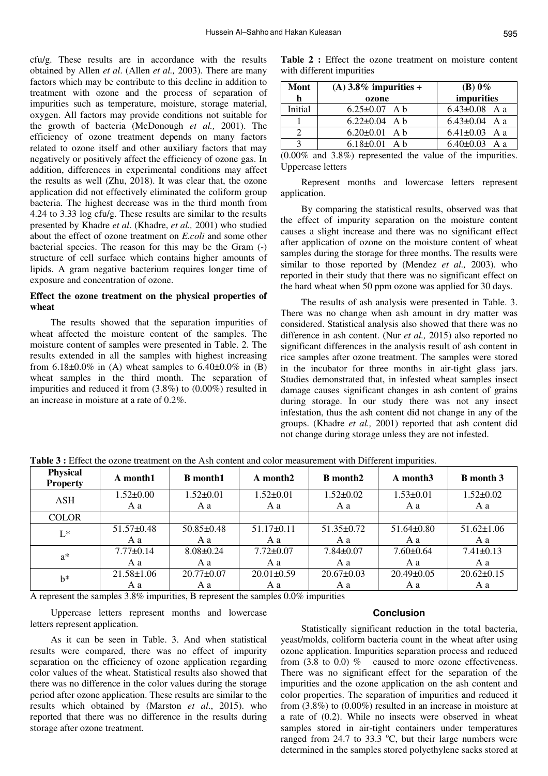cfu/g. These results are in accordance with the results obtained by Allen *et al*. (Allen *et al.,* 2003). There are many factors which may be contribute to this decline in addition to treatment with ozone and the process of separation of impurities such as temperature, moisture, storage material, oxygen. All factors may provide conditions not suitable for the growth of bacteria (McDonough *et al.,* 2001). The efficiency of ozone treatment depends on many factors related to ozone itself and other auxiliary factors that may negatively or positively affect the efficiency of ozone gas. In addition, differences in experimental conditions may affect the results as well (Zhu, 2018). It was clear that, the ozone application did not effectively eliminated the coliform group bacteria. The highest decrease was in the third month from 4.24 to 3.33 log cfu/g. These results are similar to the results presented by Khadre *et al*. (Khadre, *et al.,* 2001) who studied about the effect of ozone treatment on *E.coli* and some other bacterial species. The reason for this may be the Gram (-) structure of cell surface which contains higher amounts of lipids. A gram negative bacterium requires longer time of exposure and concentration of ozone.

# **Effect the ozone treatment on the physical properties of wheat**

The results showed that the separation impurities of wheat affected the moisture content of the samples. The moisture content of samples were presented in Table. 2. The results extended in all the samples with highest increasing from  $6.18\pm0.0\%$  in (A) wheat samples to  $6.40\pm0.0\%$  in (B) wheat samples in the third month. The separation of impurities and reduced it from (3.8%) to (0.00%) resulted in an increase in moisture at a rate of 0.2%.

**Table 2 :** Effect the ozone treatment on moisture content with different impurities

| Mont    | (A) $3.8\%$ impurities + | $(B)$ 0%            |  |
|---------|--------------------------|---------------------|--|
| h       | ozone                    | impurities          |  |
| Initial | $6.25 \pm 0.07$ A b      | $6.43 \pm 0.08$ A a |  |
|         | $6.22 \pm 0.04$ A b      | $6.43 \pm 0.04$ A a |  |
|         | $6.20 \pm 0.01$ A b      | $6.41\pm0.03$ A a   |  |
|         | $6.18\pm0.01$ A b        | $6.40 \pm 0.03$ A a |  |

(0.00% and 3.8%) represented the value of the impurities. Uppercase letters

Represent months and lowercase letters represent application.

By comparing the statistical results, observed was that the effect of impurity separation on the moisture content causes a slight increase and there was no significant effect after application of ozone on the moisture content of wheat samples during the storage for three months. The results were similar to those reported by (Mendez *et al.,* 2003). who reported in their study that there was no significant effect on the hard wheat when 50 ppm ozone was applied for 30 days.

The results of ash analysis were presented in Table. 3. There was no change when ash amount in dry matter was considered. Statistical analysis also showed that there was no difference in ash content. (Nur *et al.,* 2015) also reported no significant differences in the analysis result of ash content in rice samples after ozone treatment. The samples were stored in the incubator for three months in air-tight glass jars. Studies demonstrated that, in infested wheat samples insect damage causes significant changes in ash content of grains during storage. In our study there was not any insect infestation, thus the ash content did not change in any of the groups. (Khadre *et al.,* 2001) reported that ash content did not change during storage unless they are not infested.

| Physical<br><b>Property</b> | A month1         | <b>B</b> month1  | A month2         | <b>B</b> month2  | A month <sub>3</sub> | <b>B</b> month 3 |
|-----------------------------|------------------|------------------|------------------|------------------|----------------------|------------------|
| ASH                         | $1.52 \pm 0.00$  | $1.52 \pm 0.01$  | $1.52 \pm 0.01$  | $1.52 \pm 0.02$  | $1.53 \pm 0.01$      | $1.52 \pm 0.02$  |
|                             | Aa               | A a              | Aa               | A a              | A a                  | A a              |
| <b>COLOR</b>                |                  |                  |                  |                  |                      |                  |
| $L^*$                       | $51.57 \pm 0.48$ | $50.85 \pm 0.48$ | $51.17\pm0.11$   | $51.35 \pm 0.72$ | $51.64 \pm 0.80$     | $51.62 \pm 1.06$ |
|                             | Aa               | A a              | Aa               | Aa               | A a                  | Aa               |
| $a^*$                       | $7.77 \pm 0.14$  | $8.08 \pm 0.24$  | $7.72 \pm 0.07$  | $7.84 \pm 0.07$  | $7.60 \pm 0.64$      | $7.41 \pm 0.13$  |
|                             | Aa               | A a              | Aa               | Aa               | A a                  | Aa               |
| $b^*$                       | $21.58 \pm 1.06$ | $20.77 \pm 0.07$ | $20.01 \pm 0.59$ | $20.67 \pm 0.03$ | $20.49 \pm 0.05$     | $20.62 \pm 0.15$ |
|                             | Aa               | A a              | A a              | A a              | A a                  | A a              |

**Table 3 :** Effect the ozone treatment on the Ash content and color measurement with Different impurities.

A represent the samples 3.8% impurities, B represent the samples 0.0% impurities

Uppercase letters represent months and lowercase letters represent application.

As it can be seen in Table. 3. And when statistical results were compared, there was no effect of impurity separation on the efficiency of ozone application regarding color values of the wheat. Statistical results also showed that there was no difference in the color values during the storage period after ozone application. These results are similar to the results which obtained by (Marston *et al*., 2015). who reported that there was no difference in the results during storage after ozone treatment.

### **Conclusion**

Statistically significant reduction in the total bacteria, yeast/molds, coliform bacteria count in the wheat after using ozone application. Impurities separation process and reduced from  $(3.8 \text{ to } 0.0)$  % caused to more ozone effectiveness. There was no significant effect for the separation of the impurities and the ozone application on the ash content and color properties. The separation of impurities and reduced it from (3.8%) to (0.00%) resulted in an increase in moisture at a rate of (0.2). While no insects were observed in wheat samples stored in air-tight containers under temperatures ranged from 24.7 to 33.3  $^{\circ}$ C, but their large numbers were determined in the samples stored polyethylene sacks stored at